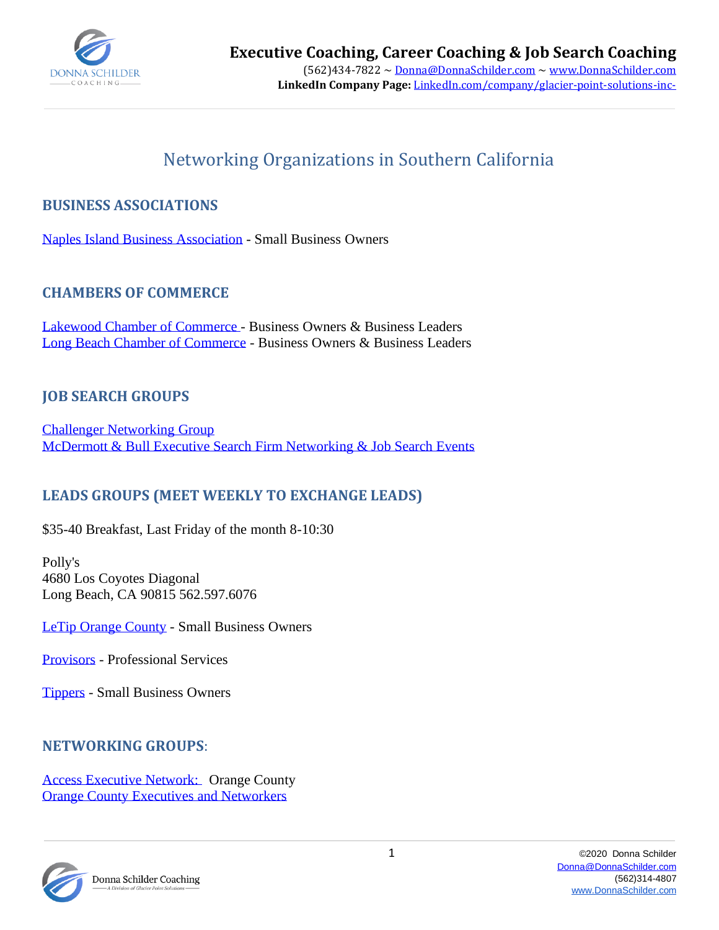

# Networking Organizations in Southern California

# **BUSINESS ASSOCIATIONS**

[Naples Island Business Association](http://www.naplesislandbusiness.com/index.htm) - Small Business Owners

## **CHAMBERS OF COMMERCE**

[Lakewood Chamber of Commerce -](http://lakewoodchamber.org/events/) Business Owners & Business Leaders [Long Beach Chamber of Commerce](http://www.lbchamber.com/) - Business Owners & Business Leaders

## **JOB SEARCH GROUPS**

[Challenger Networking Group](http://www.mbexec.net/events) [McDermott & Bull Executive Search Firm Networking & Job Search Events](http://www.mbexec.net/events)

# **LEADS GROUPS (MEET WEEKLY TO EXCHANGE LEADS)**

\$35-40 Breakfast, Last Friday of the month 8-10:30

Polly's 4680 Los Coyotes Diagonal Long Beach, CA 90815 562.597.6076

[LeTip Orange County](http://www.letipwoc.com/) - Small Business Owners

[Provisors](https://www.provisors.com/) - Professional Services

[Tippers](http://www.tipperslb.org/) - Small Business Owners

### **NETWORKING GROUPS**:

[Access Executive Network:](http://www.accessen.org/) Orange County [Orange County Executives and Networkers](http://www.theoceanwebsite.com/main/summary)



Donna Schilder Coaching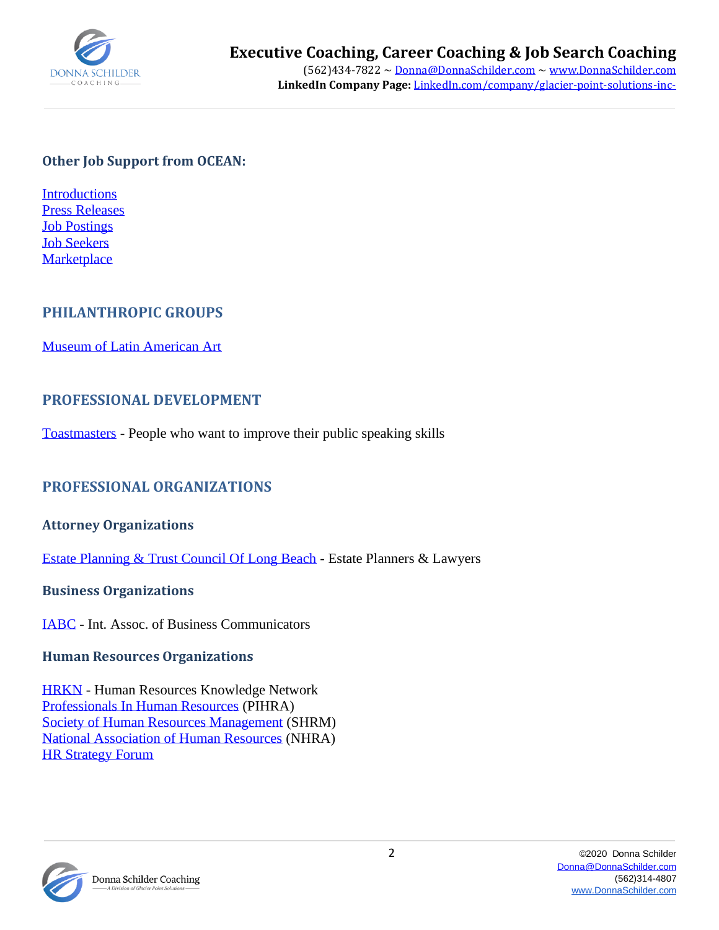

### **Other Job Support from OCEAN:**

**[Introductions](http://bit.ly/fDYBEU)** [Press Releases](http://bit.ly/eJQYTC) [Job Postings](http://bit.ly/nA1p7h) [Job Seekers](http://bit.ly/eHPDgp) **[Marketplace](http://bit.ly/gqMJ4q)** 

# **PHILANTHROPIC GROUPS**

[Museum of Latin American Art](http://www.molaa.com/)

### **PROFESSIONAL DEVELOPMENT**

[Toastmasters](http://www.toastmasters.org/) - People who want to improve their public speaking skills

# **PROFESSIONAL ORGANIZATIONS**

#### **Attorney Organizations**

[Estate Planning & Trust Council Of Long Beach](http://www.eptclb.org/) - Estate Planners & Lawyers

#### **Business Organizations**

[IABC](http://oc.iabc.com/) - Int. Assoc. of Business Communicators

#### **Human Resources Organizations**

[HRKN](http://www.hrconsultant.com/hrkn/hrkn_index.html) - Human Resources Knowledge Network [Professionals In Human Resources](http://www.pihra.org/) (PIHRA) [Society of Human Resources Management](http://www.shrm.org/pages/default.aspx) (SHRM) [National Association of Human Resources](http://www.humanresources.org/website/c/) (NHRA) [HR Strategy Forum](http://www.hrstrategyforum.org/)



Donna Schilder Coaching